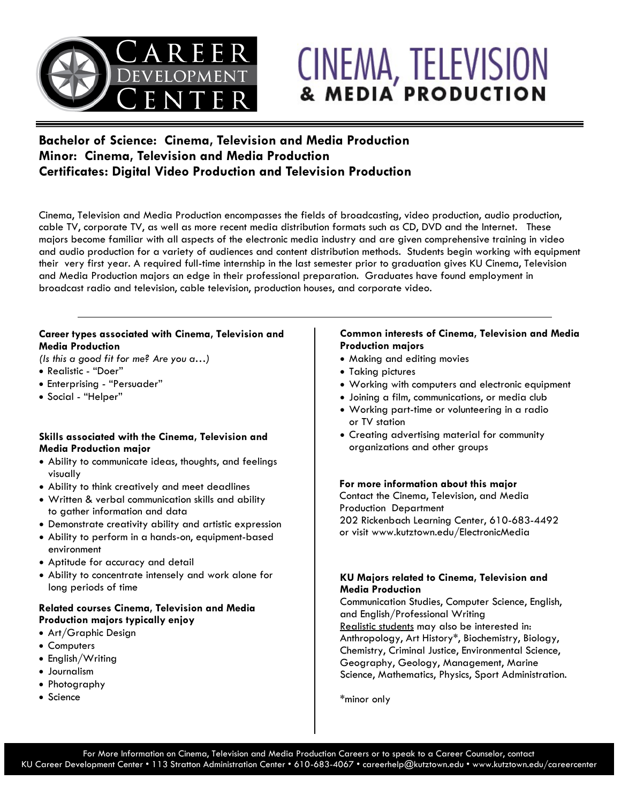

# CINEMA, TELEVISION

# **Bachelor of Science: Cinema, Television and Media Production Minor: Cinema, Television and Media Production Certificates: Digital Video Production and Television Production**

Cinema, Television and Media Production encompasses the fields of broadcasting, video production, audio production, cable TV, corporate TV, as well as more recent media distribution formats such as CD, DVD and the Internet. These majors become familiar with all aspects of the electronic media industry and are given comprehensive training in video and audio production for a variety of audiences and content distribution methods. Students begin working with equipment their very first year. A required full-time internship in the last semester prior to graduation gives KU Cinema, Television and Media Production majors an edge in their professional preparation. Graduates have found employment in broadcast radio and television, cable television, production houses, and corporate video.

## **Career types associated with Cinema, Television and Media Production**

*(Is this a good fit for me? Are you a…)*

- Realistic "Doer"
- Enterprising "Persuader"
- Social "Helper"

#### **Skills associated with the Cinema, Television and Media Production major**

- Ability to communicate ideas, thoughts, and feelings visually
- Ability to think creatively and meet deadlines
- Written & verbal communication skills and ability to gather information and data
- Demonstrate creativity ability and artistic expression
- Ability to perform in a hands-on, equipment-based environment
- Aptitude for accuracy and detail
- Ability to concentrate intensely and work alone for long periods of time

## **Related courses Cinema, Television and Media Production majors typically enjoy**

- Art/Graphic Design
- Computers
- English/Writing
- Journalism
- Photography
- Science

## **Common interests of Cinema, Television and Media Production majors**

- Making and editing movies
- Taking pictures
- Working with computers and electronic equipment
- Joining a film, communications, or media club
- Working part-time or volunteering in a radio or TV station
- Creating advertising material for community organizations and other groups

## **For more information about this major**

Contact the Cinema, Television, and Media Production Department 202 Rickenbach Learning Center, 610-683-4492 or visit www.kutztown.edu/ElectronicMedia

## **KU Majors related to Cinema, Television and Media Production**

Communication Studies, Computer Science, English, and English/Professional Writing Realistic students may also be interested in: Anthropology, Art History\*, Biochemistry, Biology, Chemistry, Criminal Justice, Environmental Science, Geography, Geology, Management, Marine Science, Mathematics, Physics, Sport Administration.

\*minor only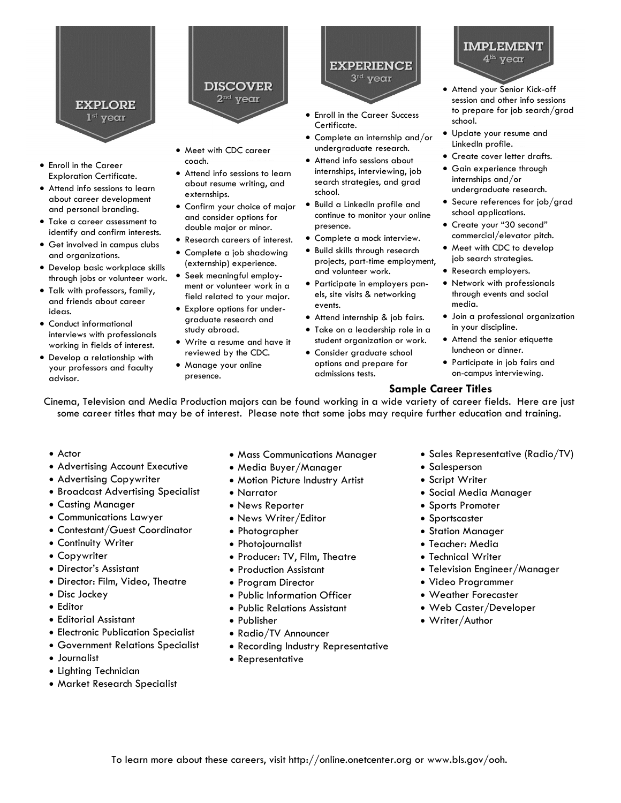

- Enroll in the Career Exploration Certificate.
- Attend info sessions to learn about career development and personal branding.
- Take a career assessment to identify and confirm interests.
- Get involved in campus clubs and organizations.
- Develop basic workplace skills through jobs or volunteer work.
- Talk with professors, family, and friends about career ideas. • Conduct informational
- interviews with professionals working in fields of interest.
- Develop a relationship with your professors and faculty advisor.
- **DISCOVER**  $2<sup>nd</sup>$  year
- Meet with CDC career coach.
- Attend info sessions to learn about resume writing, and externships.
- Confirm your choice of major and consider options for double major or minor.
- Research careers of interest.
- Complete a job shadowing (externship) experience.
- Seek meaningful employment or volunteer work in a field related to your major.
- Explore options for undergraduate research and study abroad.
- Write a resume and have it reviewed by the CDC.
- Manage your online presence.



- Enroll in the Career Success Certificate.
- Complete an internship and/or undergraduate research.
- Attend info sessions about internships, interviewing, job search strategies, and grad school.
- Build a LinkedIn profile and continue to monitor your online presence.
- Complete a mock interview.
- Build skills through research projects, part-time employment, and volunteer work.
- Participate in employers panels, site visits & networking events.
- Attend internship & job fairs.
- Take on a leadership role in a student organization or work. • Consider graduate school
- options and prepare for admissions tests.

 $4^{\rm th}$  year • Attend your Senior Kick-off

**IMPLEMENT** 

- session and other info sessions to prepare for job search/grad school.
- Update your resume and LinkedIn profile.
- Create cover letter drafts.
- Gain experience through internships and/or undergraduate research.
- Secure references for job/grad school applications.
- Create your "30 second" commercial/elevator pitch.
- Meet with CDC to develop job search strategies.
- Research employers.
- Network with professionals through events and social media.
- Join a professional organization in your discipline.
- Attend the senior etiquette luncheon or dinner.
- Participate in job fairs and on-campus interviewing.

# **Sample Career Titles**

Cinema, Television and Media Production majors can be found working in a wide variety of career fields. Here are just some career titles that may be of interest. Please note that some jobs may require further education and training.

- Actor
- Advertising Account Executive
- Advertising Copywriter
- Broadcast Advertising Specialist
- Casting Manager
- Communications Lawyer
- Contestant/Guest Coordinator
- Continuity Writer
- Copywriter
- Director's Assistant
- Director: Film, Video, Theatre
- Disc Jockey
- Editor
- Editorial Assistant
- Electronic Publication Specialist
- Government Relations Specialist
- Journalist
- Lighting Technician
- Market Research Specialist
- Mass Communications Manager
- Media Buyer/Manager
- Motion Picture Industry Artist
- Narrator
- News Reporter
- News Writer/Editor
- Photographer
- Photojournalist
- Producer: TV, Film, Theatre
- Production Assistant
- Program Director
- Public Information Officer
- Public Relations Assistant
- Publisher
- Radio/TV Announcer
- Recording Industry Representative
- Representative
- Sales Representative (Radio/TV)
- Salesperson
- Script Writer
- Social Media Manager
- Sports Promoter
- Sportscaster
- Station Manager
- Teacher: Media
- Technical Writer
- Television Engineer/Manager
- Video Programmer
- Weather Forecaster
- Web Caster/Developer
- Writer/Author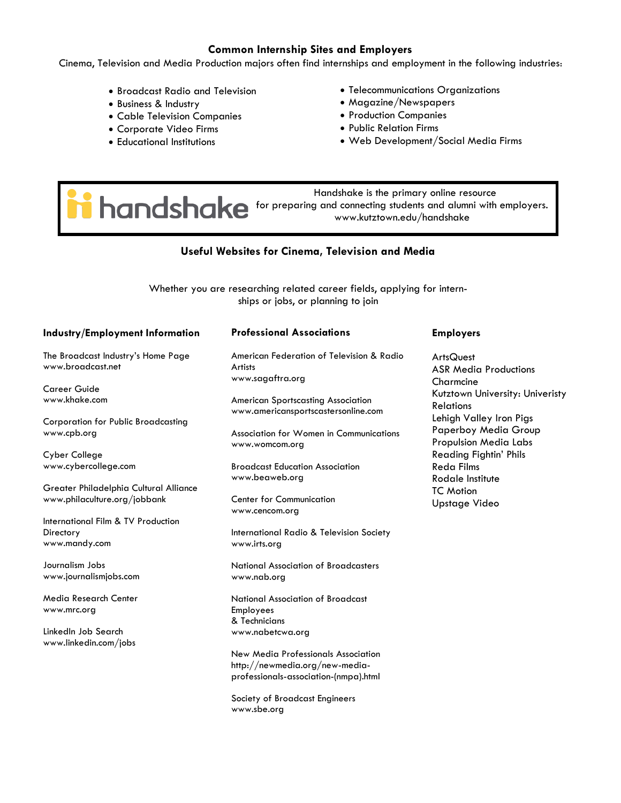#### **Common Internship Sites and Employers**

Cinema, Television and Media Production majors often find internships and employment in the following industries:

- Broadcast Radio and Television
- Business & Industry
- Cable Television Companies
- Corporate Video Firms
- Educational Institutions
- Telecommunications Organizations
- Magazine/Newspapers
- Production Companies
- Public Relation Firms
- Web Development/Social Media Firms

 Handshake is the primary online resource **industriate is the primary online resource** www.kutztown.edu/handshake

# **Useful Websites for Cinema, Television and Media**

Whether you are researching related career fields, applying for internships or jobs, or planning to join

| Industry/Employment Information              | <b>Professional Associations</b>                                                 | <b>Employers</b>                                     |
|----------------------------------------------|----------------------------------------------------------------------------------|------------------------------------------------------|
| The Broadcast Industry's Home Page           | American Federation of Television & Radio                                        | <b>ArtsQuest</b>                                     |
| www.broadcast.net                            | <b>Artists</b><br>www.sagaftra.org                                               | <b>ASR Media Productions</b>                         |
| <b>Career Guide</b>                          |                                                                                  | Charmcine                                            |
| www.khake.com                                | <b>American Sportscasting Association</b><br>www.americansportscastersonline.com | Kutztown University: Univeristy<br><b>Relations</b>  |
| Corporation for Public Broadcasting          |                                                                                  | Lehigh Valley Iron Pigs                              |
| www.cpb.org                                  | Association for Women in Communications<br>www.womcom.org                        | Paperboy Media Group<br><b>Propulsion Media Labs</b> |
| Cyber College                                |                                                                                  | <b>Reading Fightin' Phils</b>                        |
| www.cybercollege.com                         | <b>Broadcast Education Association</b><br>www.beaweb.org                         | <b>Reda Films</b><br>Rodale Institute                |
| Greater Philadelphia Cultural Alliance       |                                                                                  | <b>TC</b> Motion                                     |
| www.philaculture.org/jobbank                 | <b>Center for Communication</b><br>www.cencom.org                                | Upstage Video                                        |
| International Film & TV Production           |                                                                                  |                                                      |
| Directory                                    | International Radio & Television Society                                         |                                                      |
| www.mandy.com                                | www.irts.org                                                                     |                                                      |
| Journalism Jobs                              | National Association of Broadcasters                                             |                                                      |
| www.journalismjobs.com                       | www.nab.org                                                                      |                                                      |
| Media Research Center                        | National Association of Broadcast                                                |                                                      |
| www.mrc.org                                  | Employees                                                                        |                                                      |
|                                              | & Technicians                                                                    |                                                      |
| LinkedIn Job Search<br>www.linkedin.com/jobs | www.nabetcwa.org                                                                 |                                                      |
|                                              | New Media Professionals Association                                              |                                                      |
|                                              | http://newmedia.org/new-media-                                                   |                                                      |
|                                              | professionals-association-(nmpa).html                                            |                                                      |
|                                              | Society of Broadcast Engineers                                                   |                                                      |

www.sbe.org